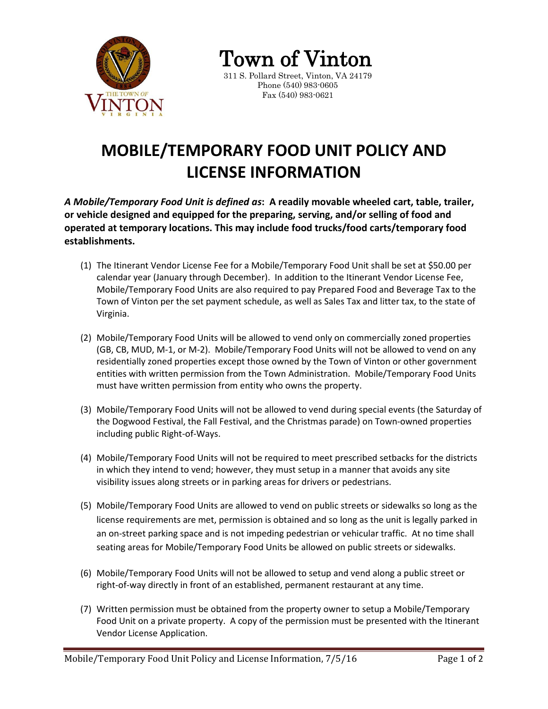

Town of Vinton 311 S. Pollard Street, Vinton, VA 24179

Phone (540) 983-0605 Fax (540) 983-0621

## **MOBILE/TEMPORARY FOOD UNIT POLICY AND LICENSE INFORMATION**

*A Mobile/Temporary Food Unit is defined as***: A readily movable wheeled cart, table, trailer, or vehicle designed and equipped for the preparing, serving, and/or selling of food and operated at temporary locations. This may include food trucks/food carts/temporary food establishments.**

- (1) The Itinerant Vendor License Fee for a Mobile/Temporary Food Unit shall be set at \$50.00 per calendar year (January through December). In addition to the Itinerant Vendor License Fee, Mobile/Temporary Food Units are also required to pay Prepared Food and Beverage Tax to the Town of Vinton per the set payment schedule, as well as Sales Tax and litter tax, to the state of Virginia.
- (2) Mobile/Temporary Food Units will be allowed to vend only on commercially zoned properties (GB, CB, MUD, M-1, or M-2). Mobile/Temporary Food Units will not be allowed to vend on any residentially zoned properties except those owned by the Town of Vinton or other government entities with written permission from the Town Administration. Mobile/Temporary Food Units must have written permission from entity who owns the property.
- (3) Mobile/Temporary Food Units will not be allowed to vend during special events (the Saturday of the Dogwood Festival, the Fall Festival, and the Christmas parade) on Town-owned properties including public Right-of-Ways.
- (4) Mobile/Temporary Food Units will not be required to meet prescribed setbacks for the districts in which they intend to vend; however, they must setup in a manner that avoids any site visibility issues along streets or in parking areas for drivers or pedestrians.
- (5) Mobile/Temporary Food Units are allowed to vend on public streets or sidewalks so long as the license requirements are met, permission is obtained and so long as the unit is legally parked in an on-street parking space and is not impeding pedestrian or vehicular traffic. At no time shall seating areas for Mobile/Temporary Food Units be allowed on public streets or sidewalks.
- (6) Mobile/Temporary Food Units will not be allowed to setup and vend along a public street or right-of-way directly in front of an established, permanent restaurant at any time.
- (7) Written permission must be obtained from the property owner to setup a Mobile/Temporary Food Unit on a private property. A copy of the permission must be presented with the Itinerant Vendor License Application.